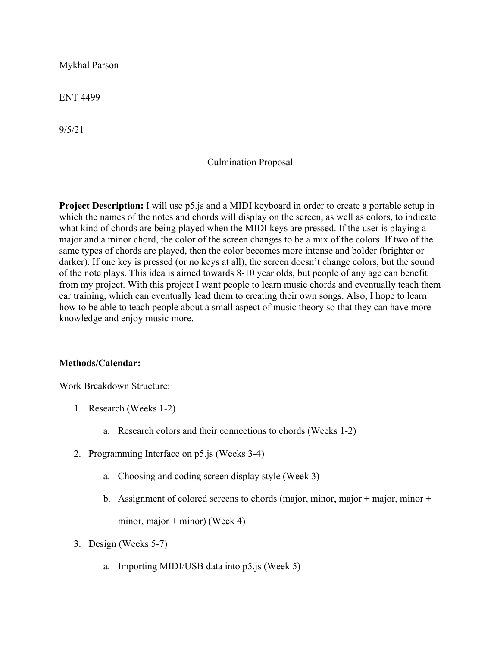Mykhal Parson

ENT 4499

9/5/21

## Culmination Proposal

**Project Description:** I will use p5.js and a MIDI keyboard in order to create a portable setup in which the names of the notes and chords will display on the screen, as well as colors, to indicate what kind of chords are being played when the MIDI keys are pressed. If the user is playing a major and a minor chord, the color of the screen changes to be a mix of the colors. If two of the same types of chords are played, then the color becomes more intense and bolder (brighter or darker). If one key is pressed (or no keys at all), the screen doesn't change colors, but the sound of the note plays. This idea is aimed towards 8-10 year olds, but people of any age can benefit from my project. With this project I want people to learn music chords and eventually teach them ear training, which can eventually lead them to creating their own songs. Also, I hope to learn how to be able to teach people about a small aspect of music theory so that they can have more knowledge and enjoy music more.

## **Methods/Calendar:**

Work Breakdown Structure:

- 1. Research (Weeks 1-2)
	- a. Research colors and their connections to chords (Weeks 1-2)
- 2. Programming Interface on p5.js (Weeks 3-4)
	- a. Choosing and coding screen display style (Week 3)
	- b. Assignment of colored screens to chords (major, minor, major + major, minor + minor, major + minor) (Week 4)
- 3. Design (Weeks 5-7)
	- a. Importing MIDI/USB data into p5.js (Week 5)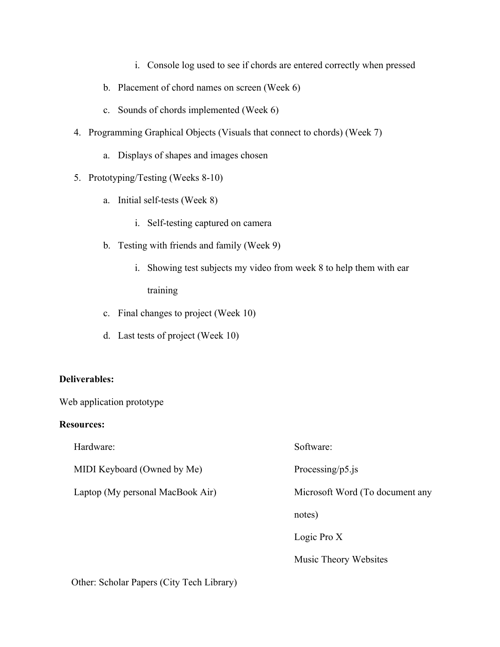- i. Console log used to see if chords are entered correctly when pressed
- b. Placement of chord names on screen (Week 6)
- c. Sounds of chords implemented (Week 6)
- 4. Programming Graphical Objects (Visuals that connect to chords) (Week 7)
	- a. Displays of shapes and images chosen
- 5. Prototyping/Testing (Weeks 8-10)
	- a. Initial self-tests (Week 8)
		- i. Self-testing captured on camera
	- b. Testing with friends and family (Week 9)
		- i. Showing test subjects my video from week 8 to help them with ear training
	- c. Final changes to project (Week 10)
	- d. Last tests of project (Week 10)

## **Deliverables:**

Web application prototype

## **Resources:**

| Hardware:                        | Software:                       |
|----------------------------------|---------------------------------|
| MIDI Keyboard (Owned by Me)      | Processing/p5.js                |
| Laptop (My personal MacBook Air) | Microsoft Word (To document any |
|                                  | notes)                          |
|                                  | Logic Pro X                     |
|                                  | Music Theory Websites           |
|                                  |                                 |

Other: Scholar Papers (City Tech Library)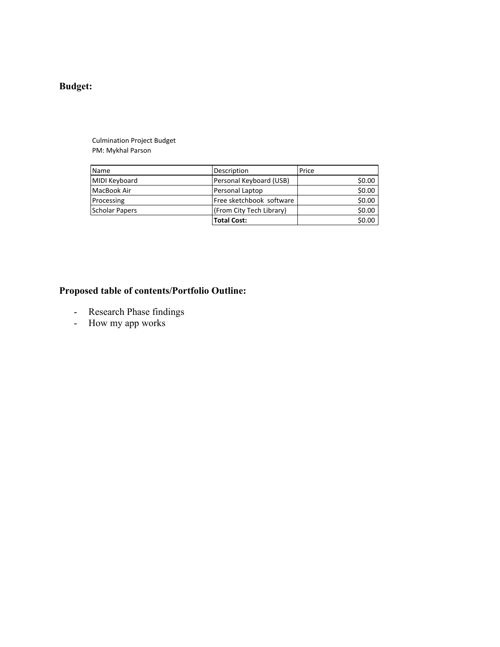## **Budget:**

Culmination Project Budget PM: Mykhal Parson

| Name                  | Description              | Price  |
|-----------------------|--------------------------|--------|
| MIDI Keyboard         | Personal Keyboard (USB)  | \$0.00 |
| MacBook Air           | Personal Laptop          | \$0.00 |
| Processing            | Free sketchbook software | \$0.00 |
| <b>Scholar Papers</b> | (From City Tech Library) | \$0.00 |
|                       | <b>Total Cost:</b>       | \$0.00 |

# **Proposed table of contents/Portfolio Outline:**

- Research Phase findings
- How my app works